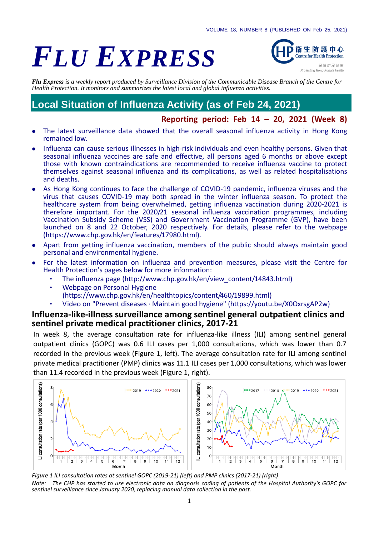# *FLU EXPRESS*



*Flu Express is a weekly report produced by Surveillance Division of the Communicable Disease Branch of the Centre for Health Protection. It monitors and summarizes the latest local and global influenza activities.*

# **Local Situation of Influenza Activity (as of Feb 24, 2021)**

#### **Reporting period: Feb 14 – 20, 2021 (Week 8)**

- The latest surveillance data showed that the overall seasonal influenza activity in Hong Kong remained low.
- Influenza can cause serious illnesses in high-risk individuals and even healthy persons. Given that seasonal influenza vaccines are safe and effective, all persons aged 6 months or above except those with known contraindications are recommended to receive influenza vaccine to protect themselves against seasonal influenza and its complications, as well as related hospitalisations and deaths.
- As Hong Kong continues to face the challenge of COVID-19 pandemic, influenza viruses and the virus that causes COVID-19 may both spread in the winter influenza season. To protect the healthcare system from being overwhelmed, getting influenza vaccination during 2020-2021 is therefore important. For the 2020/21 seasonal influenza vaccination programmes, including Vaccination Subsidy Scheme (VSS) and Government Vaccination Programme (GVP), have been launched on 8 and 22 October, 2020 respectively. For details, please refer to the webpage [\(https://www.chp.gov.hk/en/features/17980.html\)](https://www.chp.gov.hk/en/features/17980.html).
- Apart from getting influenza vaccination, members of the public should always maintain good personal and environmental hygiene.
- For the latest information on influenza and prevention measures, please visit the Centre for Health Protection's pages below for more information:
	- ‧ The influenza page [\(http://www.chp.gov.hk/en/view\\_content/14843.html\)](http://www.chp.gov.hk/en/view_content/14843.html)
	- Webpage on Personal Hygiene [\(https://www.chp.gov.hk/en/healthtopics/content/460/19899.html\)](https://www.chp.gov.hk/en/healthtopics/content/460/19899.html)
	- ‧ Video on "Prevent diseases · Maintain good hygiene" [\(https://youtu.be/X0OxrsgAP2w\)](https://youtu.be/X0OxrsgAP2w)

#### **Influenza-like-illness surveillance among sentinel general outpatient clinics and sentinel private medical practitioner clinics, 2017-21**

In week 8, the average consultation rate for influenza-like illness (ILI) among sentinel general outpatient clinics (GOPC) was 0.6 ILI cases per 1,000 consultations, which was lower than 0.7 recorded in the previous week (Figure 1, left). The average consultation rate for ILI among sentinel private medical practitioner (PMP) clinics was 11.1 ILI cases per 1,000 consultations, which was lower than 11.4 recorded in the previous week (Figure 1, right).



*Figure 1 ILI consultation rates at sentinel GOPC (2019-21) (left) and PMP clinics (2017-21) (right) Note: The CHP has started to use electronic data on diagnosis coding of patients of the Hospital Authority's GOPC for sentinel surveillance since January 2020, replacing manual data collection in the past.*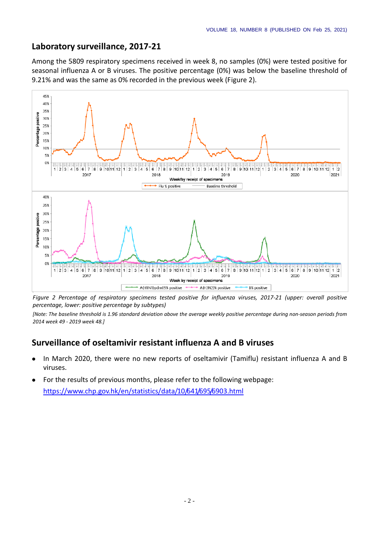### **Laboratory surveillance, 2017-21**

Among the 5809 respiratory specimens received in week 8, no samples (0%) were tested positive for seasonal influenza A or B viruses. The positive percentage (0%) was below the baseline threshold of 9.21% and was the same as 0% recorded in the previous week (Figure 2).



*Figure 2 Percentage of respiratory specimens tested positive for influenza viruses, 2017-21 (upper: overall positive percentage, lower: positive percentage by subtypes)*

*[Note: The baseline threshold is 1.96 standard deviation above the average weekly positive percentage during non-season periods from 2014 week 49 - 2019 week 48.]*

## **Surveillance of oseltamivir resistant influenza A and B viruses**

- In March 2020, there were no new reports of oseltamivir (Tamiflu) resistant influenza A and B viruses.
- For the results of previous months, please refer to the following webpage: <https://www.chp.gov.hk/en/statistics/data/10/641/695/6903.html>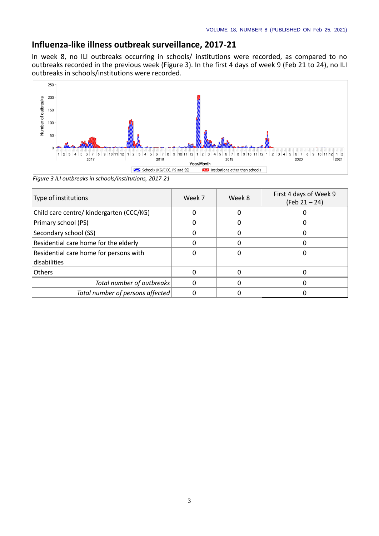### **Influenza-like illness outbreak surveillance, 2017-21**

In week 8, no ILI outbreaks occurring in schools/ institutions were recorded, as compared to no outbreaks recorded in the previous week (Figure 3). In the first 4 days of week 9 (Feb 21 to 24), no ILI outbreaks in schools/institutions were recorded.



*Figure 3 ILI outbreaks in schools/institutions, 2017-21*

| Type of institutions                     | Week 7 | Week 8 | First 4 days of Week 9<br>$(Feb 21 - 24)$ |
|------------------------------------------|--------|--------|-------------------------------------------|
| Child care centre/ kindergarten (CCC/KG) |        |        |                                           |
| Primary school (PS)                      |        |        |                                           |
| Secondary school (SS)                    |        |        |                                           |
| Residential care home for the elderly    |        |        |                                           |
| Residential care home for persons with   |        |        |                                           |
| disabilities                             |        |        |                                           |
| <b>Others</b>                            |        |        |                                           |
| Total number of outbreaks                |        |        |                                           |
| Total number of persons affected         |        |        |                                           |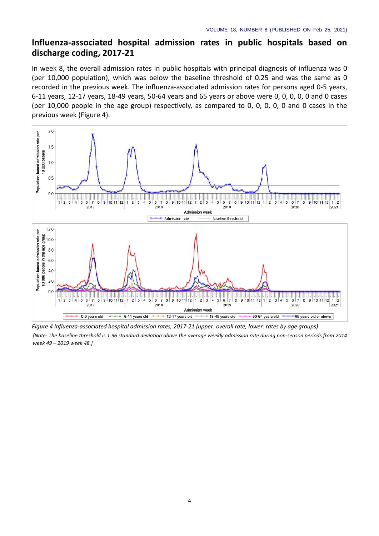#### **Influenza-associated hospital admission rates in public hospitals based on discharge coding, 2017-21**

In week 8, the overall admission rates in public hospitals with principal diagnosis of influenza was 0 (per 10,000 population), which was below the baseline threshold of 0.25 and was the same as 0 recorded in the previous week. The influenza-associated admission rates for persons aged 0-5 years, 6-11 years, 12-17 years, 18-49 years, 50-64 years and 65 years or above were 0, 0, 0, 0, 0 and 0 cases (per 10,000 people in the age group) respectively, as compared to 0, 0, 0, 0, 0 and 0 cases in the previous week (Figure 4).



*Figure 4 Influenza-associated hospital admission rates, 2017-21 (upper: overall rate, lower: rates by age groups) [Note: The baseline threshold is 1.96 standard deviation above the average weekly admission rate during non-season periods from 2014 week 49 – 2019 week 48.]*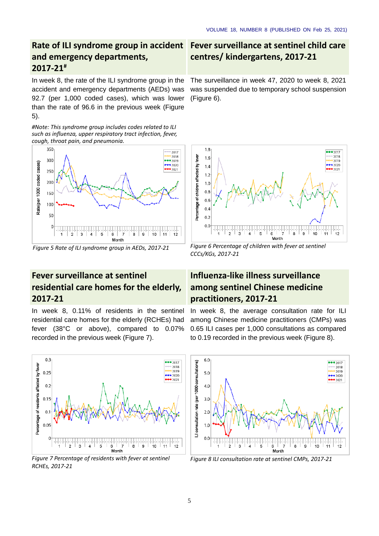## **Rate of ILI syndrome group in accident and emergency departments, 2017-21#**

In week 8, the rate of the ILI syndrome group in the accident and emergency departments (AEDs) was 92.7 (per 1,000 coded cases), which was lower than the rate of 96.6 in the previous week (Figure 5).

*#Note: This syndrome group includes codes related to ILI such as influenza, upper respiratory tract infection, fever, cough, throat pain, and pneumonia.*



## **Fever surveillance at sentinel residential care homes for the elderly, 2017-21**

In week 8, 0.11% of residents in the sentinel residential care homes for the elderly (RCHEs) had fever (38°C or above), compared to 0.07% recorded in the previous week (Figure 7).



*Figure 7 Percentage of residents with fever at sentinel RCHEs, 2017-21*

## **Fever surveillance at sentinel child care centres/ kindergartens, 2017-21**

The surveillance in week 47, 2020 to week 8, 2021 was suspended due to temporary school suspension (Figure 6).



*Figure 5 Rate of ILI syndrome group in AEDs, 2017-21 Figure 6 Percentage of children with fever at sentinel CCCs/KGs, 2017-21*

## **Influenza-like illness surveillance among sentinel Chinese medicine practitioners, 2017-21**

In week 8, the average consultation rate for ILI among Chinese medicine practitioners (CMPs) was 0.65 ILI cases per 1,000 consultations as compared to 0.19 recorded in the previous week (Figure 8).



*Figure 8 ILI consultation rate at sentinel CMPs, 2017-21*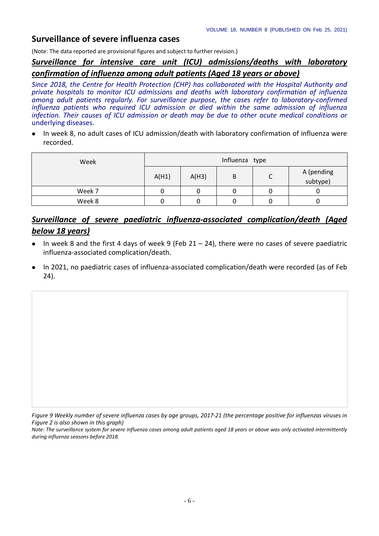## **Surveillance of severe influenza cases**

(Note: The data reported are provisional figures and subject to further revision.)

### *Surveillance for intensive care unit (ICU) admissions/deaths with laboratory confirmation of influenza among adult patients (Aged 18 years or above)*

*Since 2018, the Centre for Health Protection (CHP) has collaborated with the Hospital Authority and private hospitals to monitor ICU admissions and deaths with laboratory confirmation of influenza among adult patients regularly. For surveillance purpose, the cases refer to laboratory-confirmed influenza patients who required ICU admission or died within the same admission of influenza infection. Their causes of ICU admission or death may be due to other acute medical conditions or*  underlying diseases.

 In week 8, no adult cases of ICU admission/death with laboratory confirmation of influenza were recorded.

| Week   | Influenza type |       |   |   |                        |  |  |
|--------|----------------|-------|---|---|------------------------|--|--|
|        | A(H1)          | A(H3) | B | J | A (pending<br>subtype) |  |  |
| Week 7 |                |       |   |   |                        |  |  |
| Week 8 |                |       |   |   |                        |  |  |

## *Surveillance of severe paediatric influenza-associated complication/death (Aged below 18 years)*

- $\bullet$  In week 8 and the first 4 days of week 9 (Feb 21 24), there were no cases of severe paediatric influenza-associated complication/death.
- In 2021, no paediatric cases of influenza-associated complication/death were recorded (as of Feb 24).

*Figure 9 Weekly number of severe influenza cases by age groups, 2017-21 (the percentage positive for influenzas viruses in Figure 2 is also shown in this graph)* 

*Note: The surveillance system for severe influenza cases among adult patients aged 18 years or above was only activated intermittently during influenza seasons before 2018.*